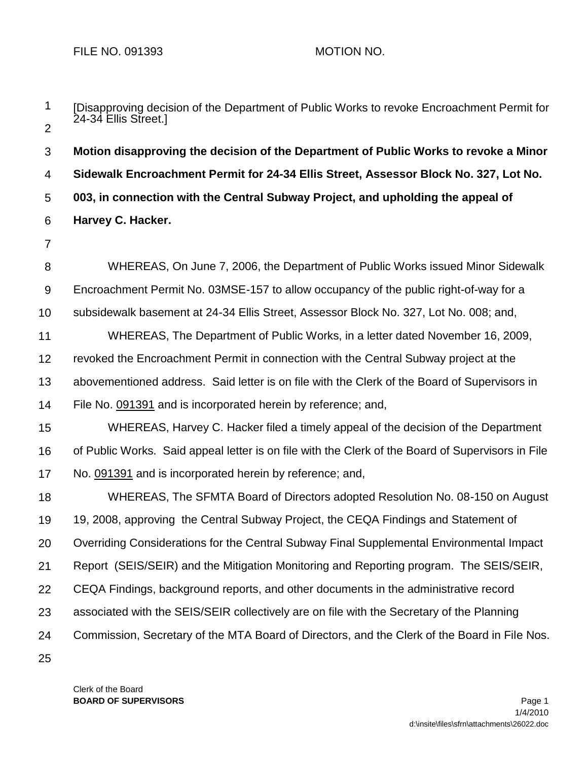| 1              | [Disapproving decision of the Department of Public Works to revoke Encroachment Permit for<br>24-34 Ellis Street.] |
|----------------|--------------------------------------------------------------------------------------------------------------------|
| $\overline{2}$ |                                                                                                                    |
| 3              | Motion disapproving the decision of the Department of Public Works to revoke a Minor                               |
| $\overline{4}$ | Sidewalk Encroachment Permit for 24-34 Ellis Street, Assessor Block No. 327, Lot No.                               |
| 5              | 003, in connection with the Central Subway Project, and upholding the appeal of                                    |
| 6              | Harvey C. Hacker.                                                                                                  |
| $\overline{7}$ |                                                                                                                    |
| 8              | WHEREAS, On June 7, 2006, the Department of Public Works issued Minor Sidewalk                                     |
| 9              | Encroachment Permit No. 03MSE-157 to allow occupancy of the public right-of-way for a                              |
| 10             | subsidewalk basement at 24-34 Ellis Street, Assessor Block No. 327, Lot No. 008; and,                              |
| 11             | WHEREAS, The Department of Public Works, in a letter dated November 16, 2009,                                      |
| 12             | revoked the Encroachment Permit in connection with the Central Subway project at the                               |
| 13             | abovementioned address. Said letter is on file with the Clerk of the Board of Supervisors in                       |
| 14             | File No. 091391 and is incorporated herein by reference; and,                                                      |
| 15             | WHEREAS, Harvey C. Hacker filed a timely appeal of the decision of the Department                                  |
| 16             | of Public Works. Said appeal letter is on file with the Clerk of the Board of Supervisors in File                  |
| 17             | No. 091391 and is incorporated herein by reference; and,                                                           |
| 18             | WHEREAS, The SFMTA Board of Directors adopted Resolution No. 08-150 on August                                      |
| 19             | 19, 2008, approving the Central Subway Project, the CEQA Findings and Statement of                                 |
| 20             | Overriding Considerations for the Central Subway Final Supplemental Environmental Impact                           |
| 21             | Report (SEIS/SEIR) and the Mitigation Monitoring and Reporting program. The SEIS/SEIR,                             |
| 22             | CEQA Findings, background reports, and other documents in the administrative record                                |
| 23             | associated with the SEIS/SEIR collectively are on file with the Secretary of the Planning                          |
| 24             | Commission, Secretary of the MTA Board of Directors, and the Clerk of the Board in File Nos.                       |
| 25             |                                                                                                                    |

Clerk of the Board